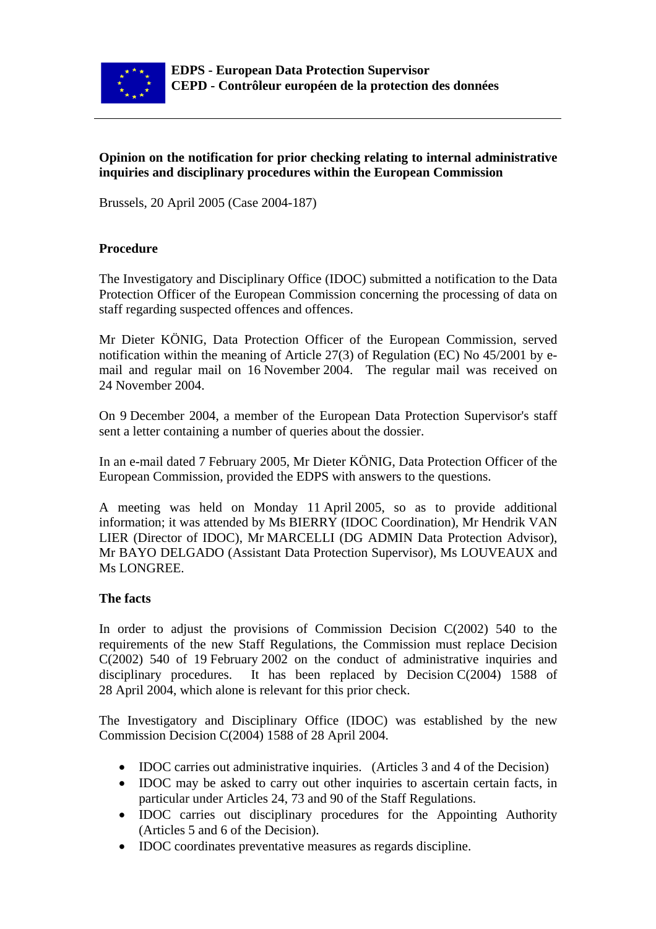

### **Opinion on the notification for prior checking relating to internal administrative inquiries and disciplinary procedures within the European Commission**

Brussels, 20 April 2005 (Case 2004-187)

#### **Procedure**

The Investigatory and Disciplinary Office (IDOC) submitted a notification to the Data Protection Officer of the European Commission concerning the processing of data on staff regarding suspected offences and offences.

Mr Dieter KÖNIG, Data Protection Officer of the European Commission, served notification within the meaning of Article 27(3) of Regulation (EC) No 45/2001 by email and regular mail on 16 November 2004. The regular mail was received on 24 November 2004.

On 9 December 2004, a member of the European Data Protection Supervisor's staff sent a letter containing a number of queries about the dossier.

In an e-mail dated 7 February 2005, Mr Dieter KÖNIG, Data Protection Officer of the European Commission, provided the EDPS with answers to the questions.

A meeting was held on Monday 11 April 2005, so as to provide additional information; it was attended by Ms BIERRY (IDOC Coordination), Mr Hendrik VAN LIER (Director of IDOC), Mr MARCELLI (DG ADMIN Data Protection Advisor), Mr BAYO DELGADO (Assistant Data Protection Supervisor), Ms LOUVEAUX and Ms LONGREE.

#### **The facts**

In order to adjust the provisions of Commission Decision C(2002) 540 to the requirements of the new Staff Regulations, the Commission must replace Decision C(2002) 540 of 19 February 2002 on the conduct of administrative inquiries and disciplinary procedures. It has been replaced by Decision C(2004) 1588 of 28 April 2004, which alone is relevant for this prior check.

The Investigatory and Disciplinary Office (IDOC) was established by the new Commission Decision C(2004) 1588 of 28 April 2004.

- IDOC carries out administrative inquiries. (Articles 3 and 4 of the Decision)
- IDOC may be asked to carry out other inquiries to ascertain certain facts, in particular under Articles 24, 73 and 90 of the Staff Regulations.
- IDOC carries out disciplinary procedures for the Appointing Authority (Articles 5 and 6 of the Decision).
- IDOC coordinates preventative measures as regards discipline.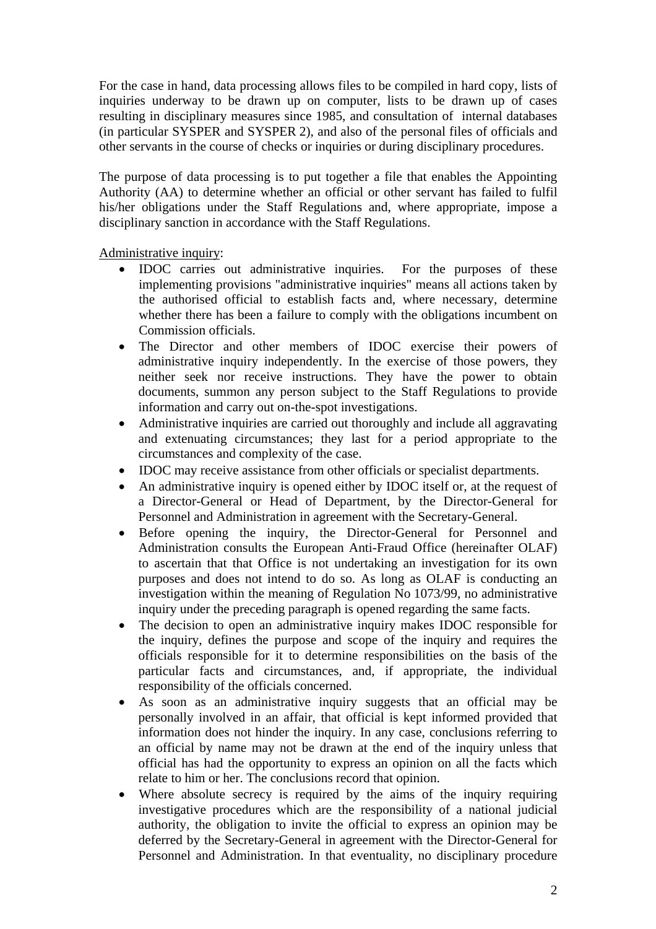For the case in hand, data processing allows files to be compiled in hard copy, lists of inquiries underway to be drawn up on computer, lists to be drawn up of cases resulting in disciplinary measures since 1985, and consultation of internal databases (in particular SYSPER and SYSPER 2), and also of the personal files of officials and other servants in the course of checks or inquiries or during disciplinary procedures.

The purpose of data processing is to put together a file that enables the Appointing Authority (AA) to determine whether an official or other servant has failed to fulfil his/her obligations under the Staff Regulations and, where appropriate, impose a disciplinary sanction in accordance with the Staff Regulations.

Administrative inquiry:

- IDOC carries out administrative inquiries. For the purposes of these implementing provisions "administrative inquiries" means all actions taken by the authorised official to establish facts and, where necessary, determine whether there has been a failure to comply with the obligations incumbent on Commission officials.
- The Director and other members of IDOC exercise their powers of administrative inquiry independently. In the exercise of those powers, they neither seek nor receive instructions. They have the power to obtain documents, summon any person subject to the Staff Regulations to provide information and carry out on-the-spot investigations.
- Administrative inquiries are carried out thoroughly and include all aggravating and extenuating circumstances; they last for a period appropriate to the circumstances and complexity of the case.
- IDOC may receive assistance from other officials or specialist departments.
- An administrative inquiry is opened either by IDOC itself or, at the request of a Director-General or Head of Department, by the Director-General for Personnel and Administration in agreement with the Secretary-General.
- Before opening the inquiry, the Director-General for Personnel and Administration consults the European Anti-Fraud Office (hereinafter OLAF) to ascertain that that Office is not undertaking an investigation for its own purposes and does not intend to do so. As long as OLAF is conducting an investigation within the meaning of Regulation No 1073/99, no administrative inquiry under the preceding paragraph is opened regarding the same facts.
- The decision to open an administrative inquiry makes IDOC responsible for the inquiry, defines the purpose and scope of the inquiry and requires the officials responsible for it to determine responsibilities on the basis of the particular facts and circumstances, and, if appropriate, the individual responsibility of the officials concerned.
- As soon as an administrative inquiry suggests that an official may be personally involved in an affair, that official is kept informed provided that information does not hinder the inquiry. In any case, conclusions referring to an official by name may not be drawn at the end of the inquiry unless that official has had the opportunity to express an opinion on all the facts which relate to him or her. The conclusions record that opinion.
- Where absolute secrecy is required by the aims of the inquiry requiring investigative procedures which are the responsibility of a national judicial authority, the obligation to invite the official to express an opinion may be deferred by the Secretary-General in agreement with the Director-General for Personnel and Administration. In that eventuality, no disciplinary procedure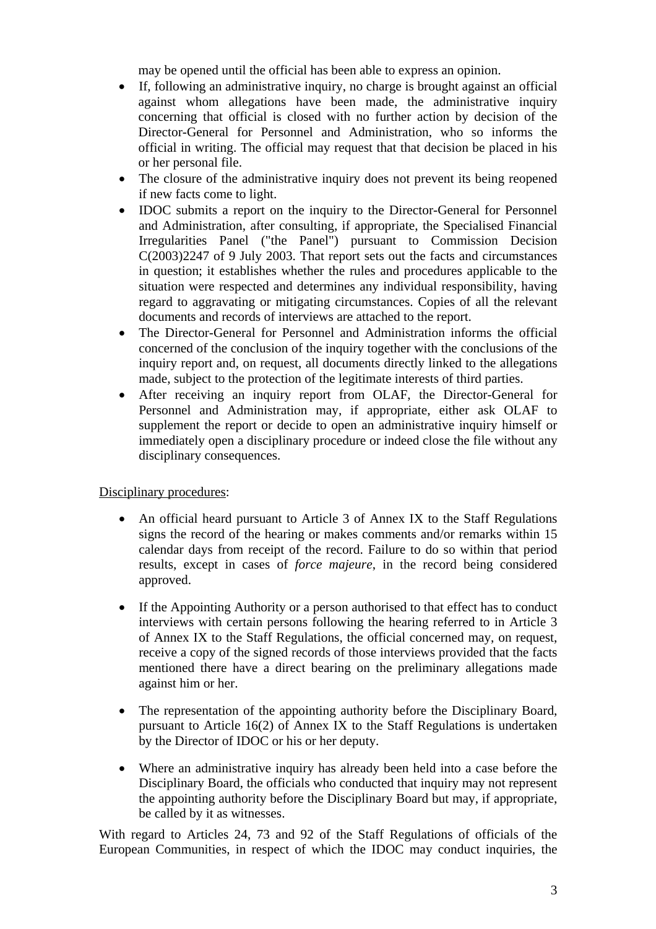may be opened until the official has been able to express an opinion.

- If, following an administrative inquiry, no charge is brought against an official against whom allegations have been made, the administrative inquiry concerning that official is closed with no further action by decision of the Director-General for Personnel and Administration, who so informs the official in writing. The official may request that that decision be placed in his or her personal file.
- The closure of the administrative inquiry does not prevent its being reopened if new facts come to light.
- IDOC submits a report on the inquiry to the Director-General for Personnel and Administration, after consulting, if appropriate, the Specialised Financial Irregularities Panel ("the Panel") pursuant to Commission Decision C(2003)2247 of 9 July 2003. That report sets out the facts and circumstances in question; it establishes whether the rules and procedures applicable to the situation were respected and determines any individual responsibility, having regard to aggravating or mitigating circumstances. Copies of all the relevant documents and records of interviews are attached to the report.
- The Director-General for Personnel and Administration informs the official concerned of the conclusion of the inquiry together with the conclusions of the inquiry report and, on request, all documents directly linked to the allegations made, subject to the protection of the legitimate interests of third parties.
- After receiving an inquiry report from OLAF, the Director-General for Personnel and Administration may, if appropriate, either ask OLAF to supplement the report or decide to open an administrative inquiry himself or immediately open a disciplinary procedure or indeed close the file without any disciplinary consequences.

Disciplinary procedures:

- An official heard pursuant to Article 3 of Annex IX to the Staff Regulations signs the record of the hearing or makes comments and/or remarks within 15 calendar days from receipt of the record. Failure to do so within that period results, except in cases of *force majeure*, in the record being considered approved.
- If the Appointing Authority or a person authorised to that effect has to conduct interviews with certain persons following the hearing referred to in Article 3 of Annex IX to the Staff Regulations, the official concerned may, on request, receive a copy of the signed records of those interviews provided that the facts mentioned there have a direct bearing on the preliminary allegations made against him or her.
- The representation of the appointing authority before the Disciplinary Board, pursuant to Article 16(2) of Annex IX to the Staff Regulations is undertaken by the Director of IDOC or his or her deputy.
- Where an administrative inquiry has already been held into a case before the Disciplinary Board, the officials who conducted that inquiry may not represent the appointing authority before the Disciplinary Board but may, if appropriate, be called by it as witnesses.

With regard to Articles 24, 73 and 92 of the Staff Regulations of officials of the European Communities, in respect of which the IDOC may conduct inquiries, the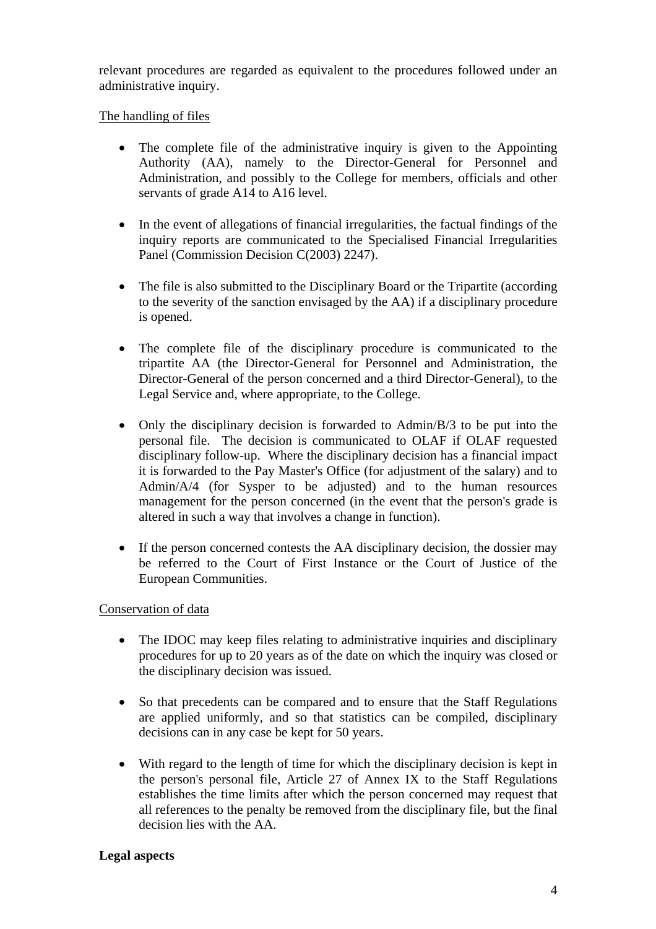relevant procedures are regarded as equivalent to the procedures followed under an administrative inquiry.

#### The handling of files

- The complete file of the administrative inquiry is given to the Appointing Authority (AA), namely to the Director-General for Personnel and Administration, and possibly to the College for members, officials and other servants of grade A14 to A16 level.
- In the event of allegations of financial irregularities, the factual findings of the inquiry reports are communicated to the Specialised Financial Irregularities Panel (Commission Decision C(2003) 2247).
- The file is also submitted to the Disciplinary Board or the Tripartite (according to the severity of the sanction envisaged by the AA) if a disciplinary procedure is opened.
- The complete file of the disciplinary procedure is communicated to the tripartite AA (the Director-General for Personnel and Administration, the Director-General of the person concerned and a third Director-General), to the Legal Service and, where appropriate, to the College.
- Only the disciplinary decision is forwarded to Admin/B/3 to be put into the personal file. The decision is communicated to OLAF if OLAF requested disciplinary follow-up. Where the disciplinary decision has a financial impact it is forwarded to the Pay Master's Office (for adjustment of the salary) and to Admin/A/4 (for Sysper to be adjusted) and to the human resources management for the person concerned (in the event that the person's grade is altered in such a way that involves a change in function).
- If the person concerned contests the AA disciplinary decision, the dossier may be referred to the Court of First Instance or the Court of Justice of the European Communities.

#### Conservation of data

- The IDOC may keep files relating to administrative inquiries and disciplinary procedures for up to 20 years as of the date on which the inquiry was closed or the disciplinary decision was issued.
- So that precedents can be compared and to ensure that the Staff Regulations are applied uniformly, and so that statistics can be compiled, disciplinary decisions can in any case be kept for 50 years.
- With regard to the length of time for which the disciplinary decision is kept in the person's personal file, Article 27 of Annex IX to the Staff Regulations establishes the time limits after which the person concerned may request that all references to the penalty be removed from the disciplinary file, but the final decision lies with the AA.

#### **Legal aspects**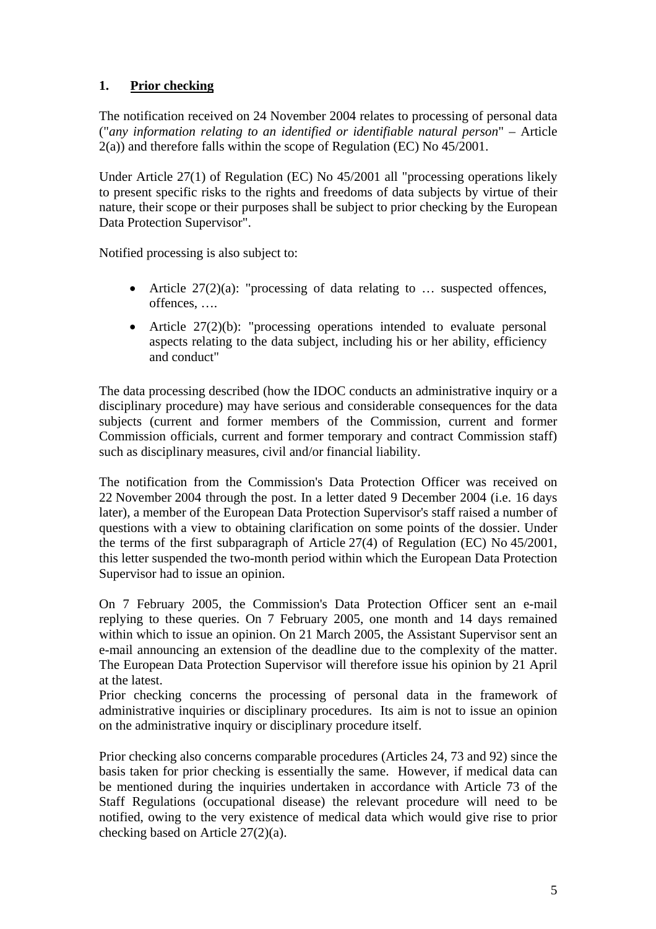# **1. Prior checking**

The notification received on 24 November 2004 relates to processing of personal data ("*any information relating to an identified or identifiable natural person*" – Article 2(a)) and therefore falls within the scope of Regulation (EC) No 45/2001.

Under Article 27(1) of Regulation (EC) No 45/2001 all "processing operations likely to present specific risks to the rights and freedoms of data subjects by virtue of their nature, their scope or their purposes shall be subject to prior checking by the European Data Protection Supervisor".

Notified processing is also subject to:

- Article  $27(2)(a)$ : "processing of data relating to ... suspected offences, offences, ….
- Article  $27(2)(b)$ : "processing operations intended to evaluate personal aspects relating to the data subject, including his or her ability, efficiency and conduct"

The data processing described (how the IDOC conducts an administrative inquiry or a disciplinary procedure) may have serious and considerable consequences for the data subjects (current and former members of the Commission, current and former Commission officials, current and former temporary and contract Commission staff) such as disciplinary measures, civil and/or financial liability.

The notification from the Commission's Data Protection Officer was received on 22 November 2004 through the post. In a letter dated 9 December 2004 (i.e. 16 days later), a member of the European Data Protection Supervisor's staff raised a number of questions with a view to obtaining clarification on some points of the dossier. Under the terms of the first subparagraph of Article 27(4) of Regulation (EC) No 45/2001, this letter suspended the two-month period within which the European Data Protection Supervisor had to issue an opinion.

On 7 February 2005, the Commission's Data Protection Officer sent an e-mail replying to these queries. On 7 February 2005, one month and 14 days remained within which to issue an opinion. On 21 March 2005, the Assistant Supervisor sent an e-mail announcing an extension of the deadline due to the complexity of the matter. The European Data Protection Supervisor will therefore issue his opinion by 21 April at the latest.

Prior checking concerns the processing of personal data in the framework of administrative inquiries or disciplinary procedures. Its aim is not to issue an opinion on the administrative inquiry or disciplinary procedure itself.

Prior checking also concerns comparable procedures (Articles 24, 73 and 92) since the basis taken for prior checking is essentially the same. However, if medical data can be mentioned during the inquiries undertaken in accordance with Article 73 of the Staff Regulations (occupational disease) the relevant procedure will need to be notified, owing to the very existence of medical data which would give rise to prior checking based on Article 27(2)(a).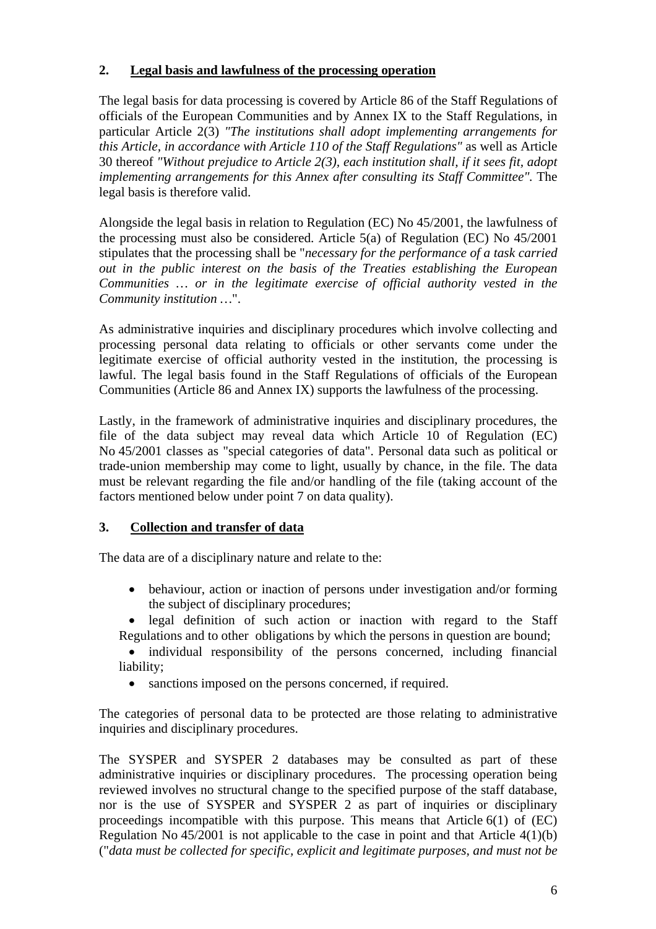### **2. Legal basis and lawfulness of the processing operation**

The legal basis for data processing is covered by Article 86 of the Staff Regulations of officials of the European Communities and by Annex IX to the Staff Regulations, in particular Article 2(3) *"The institutions shall adopt implementing arrangements for this Article, in accordance with Article 110 of the Staff Regulations"* as well as Article 30 thereof *"Without prejudice to Article 2(3), each institution shall, if it sees fit, adopt implementing arrangements for this Annex after consulting its Staff Committee".* The legal basis is therefore valid.

Alongside the legal basis in relation to Regulation (EC) No 45/2001, the lawfulness of the processing must also be considered. Article 5(a) of Regulation (EC) No 45/2001 stipulates that the processing shall be "*necessary for the performance of a task carried out in the public interest on the basis of the Treaties establishing the European Communities … or in the legitimate exercise of official authority vested in the Community institution …*".

As administrative inquiries and disciplinary procedures which involve collecting and processing personal data relating to officials or other servants come under the legitimate exercise of official authority vested in the institution, the processing is lawful. The legal basis found in the Staff Regulations of officials of the European Communities (Article 86 and Annex IX) supports the lawfulness of the processing.

Lastly, in the framework of administrative inquiries and disciplinary procedures, the file of the data subject may reveal data which Article 10 of Regulation (EC) No 45/2001 classes as "special categories of data". Personal data such as political or trade-union membership may come to light, usually by chance, in the file. The data must be relevant regarding the file and/or handling of the file (taking account of the factors mentioned below under point 7 on data quality).

## **3. Collection and transfer of data**

The data are of a disciplinary nature and relate to the:

- behaviour, action or inaction of persons under investigation and/or forming the subject of disciplinary procedures;
- legal definition of such action or inaction with regard to the Staff Regulations and to other obligations by which the persons in question are bound;
- individual responsibility of the persons concerned, including financial liability;
	- sanctions imposed on the persons concerned, if required.

The categories of personal data to be protected are those relating to administrative inquiries and disciplinary procedures.

The SYSPER and SYSPER 2 databases may be consulted as part of these administrative inquiries or disciplinary procedures. The processing operation being reviewed involves no structural change to the specified purpose of the staff database, nor is the use of SYSPER and SYSPER 2 as part of inquiries or disciplinary proceedings incompatible with this purpose. This means that Article 6(1) of (EC) Regulation No  $45/2001$  is not applicable to the case in point and that Article  $4(1)(b)$ ("*data must be collected for specific, explicit and legitimate purposes, and must not be*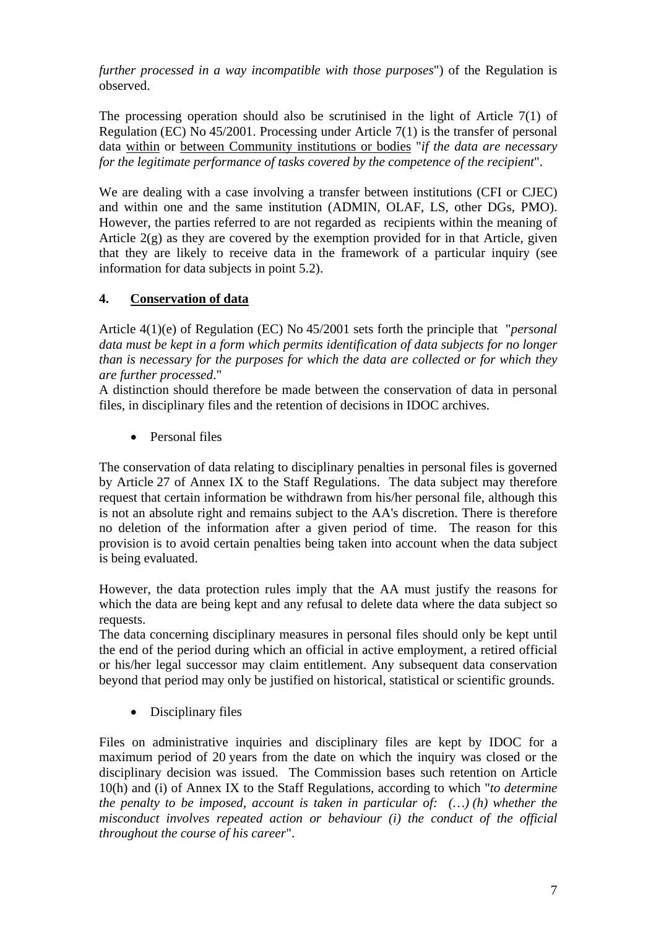*further processed in a way incompatible with those purposes*") of the Regulation is observed.

The processing operation should also be scrutinised in the light of Article 7(1) of Regulation (EC) No 45/2001. Processing under Article 7(1) is the transfer of personal data within or between Community institutions or bodies "*if the data are necessary for the legitimate performance of tasks covered by the competence of the recipient*".

We are dealing with a case involving a transfer between institutions (CFI or CJEC) and within one and the same institution (ADMIN, OLAF, LS, other DGs, PMO). However, the parties referred to are not regarded as recipients within the meaning of Article 2(g) as they are covered by the exemption provided for in that Article, given that they are likely to receive data in the framework of a particular inquiry (see information for data subjects in point 5.2).

## **4. Conservation of data**

Article 4(1)(e) of Regulation (EC) No 45/2001 sets forth the principle that "*personal data must be kept in a form which permits identification of data subjects for no longer than is necessary for the purposes for which the data are collected or for which they are further processed*."

A distinction should therefore be made between the conservation of data in personal files, in disciplinary files and the retention of decisions in IDOC archives.

• Personal files

The conservation of data relating to disciplinary penalties in personal files is governed by Article 27 of Annex IX to the Staff Regulations. The data subject may therefore request that certain information be withdrawn from his/her personal file, although this is not an absolute right and remains subject to the AA's discretion. There is therefore no deletion of the information after a given period of time. The reason for this provision is to avoid certain penalties being taken into account when the data subject is being evaluated.

However, the data protection rules imply that the AA must justify the reasons for which the data are being kept and any refusal to delete data where the data subject so requests.

The data concerning disciplinary measures in personal files should only be kept until the end of the period during which an official in active employment, a retired official or his/her legal successor may claim entitlement. Any subsequent data conservation beyond that period may only be justified on historical, statistical or scientific grounds.

• Disciplinary files

Files on administrative inquiries and disciplinary files are kept by IDOC for a maximum period of 20 years from the date on which the inquiry was closed or the disciplinary decision was issued. The Commission bases such retention on Article 10(h) and (i) of Annex IX to the Staff Regulations, according to which "*to determine the penalty to be imposed, account is taken in particular of: (…) (h) whether the misconduct involves repeated action or behaviour (i) the conduct of the official throughout the course of his career*".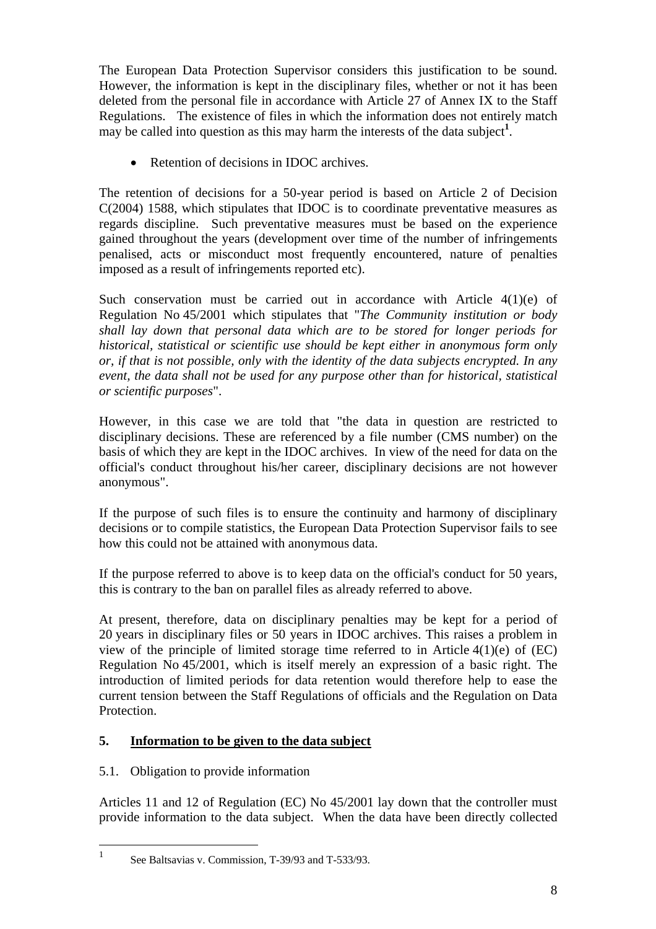The European Data Protection Supervisor considers this justification to be sound. However, the information is kept in the disciplinary files, whether or not it has been deleted from the personal file in accordance with Article 27 of Annex IX to the Staff Regulations. The existence of files in which the information does not entirely match may be called into question as this may harm the interests of the data subject<sup>1</sup>.

• Retention of decisions in IDOC archives.

The retention of decisions for a 50-year period is based on Article 2 of Decision C(2004) 1588, which stipulates that IDOC is to coordinate preventative measures as regards discipline. Such preventative measures must be based on the experience gained throughout the years (development over time of the number of infringements penalised, acts or misconduct most frequently encountered, nature of penalties imposed as a result of infringements reported etc).

Such conservation must be carried out in accordance with Article  $4(1)(e)$  of Regulation No 45/2001 which stipulates that "*The Community institution or body shall lay down that personal data which are to be stored for longer periods for historical, statistical or scientific use should be kept either in anonymous form only or, if that is not possible, only with the identity of the data subjects encrypted. In any event, the data shall not be used for any purpose other than for historical, statistical or scientific purposes*".

However, in this case we are told that "the data in question are restricted to disciplinary decisions. These are referenced by a file number (CMS number) on the basis of which they are kept in the IDOC archives. In view of the need for data on the official's conduct throughout his/her career, disciplinary decisions are not however anonymous".

If the purpose of such files is to ensure the continuity and harmony of disciplinary decisions or to compile statistics, the European Data Protection Supervisor fails to see how this could not be attained with anonymous data.

If the purpose referred to above is to keep data on the official's conduct for 50 years, this is contrary to the ban on parallel files as already referred to above.

At present, therefore, data on disciplinary penalties may be kept for a period of 20 years in disciplinary files or 50 years in IDOC archives. This raises a problem in view of the principle of limited storage time referred to in Article 4(1)(e) of (EC) Regulation No 45/2001, which is itself merely an expression of a basic right. The introduction of limited periods for data retention would therefore help to ease the current tension between the Staff Regulations of officials and the Regulation on Data Protection.

## **5. Information to be given to the data subject**

## 5.1. Obligation to provide information

 $\frac{1}{1}$ 

Articles 11 and 12 of Regulation (EC) No 45/2001 lay down that the controller must provide information to the data subject. When the data have been directly collected

<span id="page-7-0"></span>See Baltsavias v. Commission, T-39/93 and T-533/93.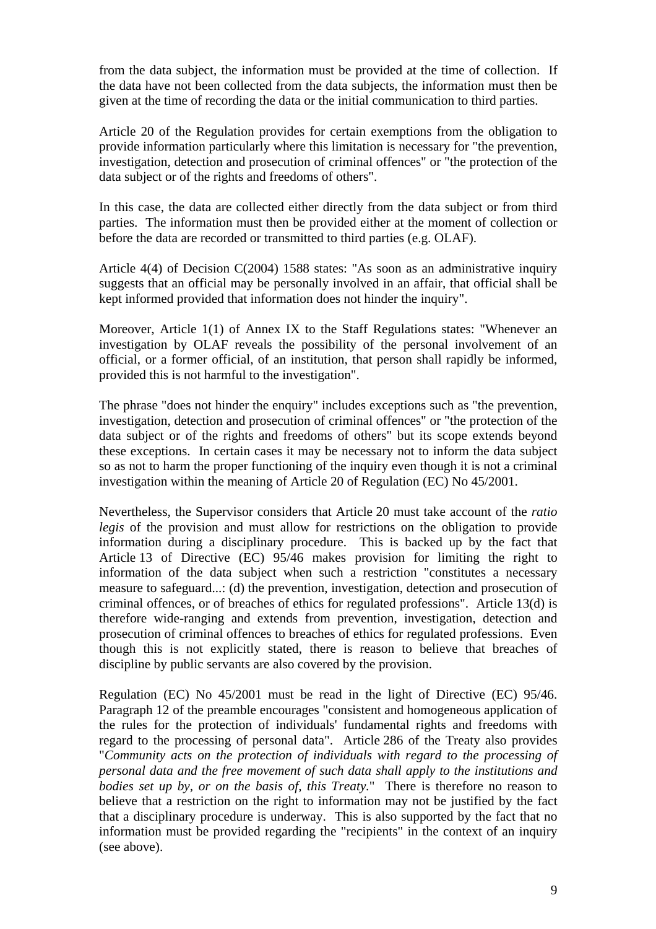from the data subject, the information must be provided at the time of collection. If the data have not been collected from the data subjects, the information must then be given at the time of recording the data or the initial communication to third parties.

Article 20 of the Regulation provides for certain exemptions from the obligation to provide information particularly where this limitation is necessary for "the prevention, investigation, detection and prosecution of criminal offences" or "the protection of the data subject or of the rights and freedoms of others".

In this case, the data are collected either directly from the data subject or from third parties. The information must then be provided either at the moment of collection or before the data are recorded or transmitted to third parties (e.g. OLAF).

Article 4(4) of Decision C(2004) 1588 states: "As soon as an administrative inquiry suggests that an official may be personally involved in an affair, that official shall be kept informed provided that information does not hinder the inquiry".

Moreover, Article 1(1) of Annex IX to the Staff Regulations states: "Whenever an investigation by OLAF reveals the possibility of the personal involvement of an official, or a former official, of an institution, that person shall rapidly be informed, provided this is not harmful to the investigation".

The phrase "does not hinder the enquiry" includes exceptions such as "the prevention, investigation, detection and prosecution of criminal offences" or "the protection of the data subject or of the rights and freedoms of others" but its scope extends beyond these exceptions. In certain cases it may be necessary not to inform the data subject so as not to harm the proper functioning of the inquiry even though it is not a criminal investigation within the meaning of Article 20 of Regulation (EC) No 45/2001.

Nevertheless, the Supervisor considers that Article 20 must take account of the *ratio legis* of the provision and must allow for restrictions on the obligation to provide information during a disciplinary procedure. This is backed up by the fact that Article 13 of Directive (EC) 95/46 makes provision for limiting the right to information of the data subject when such a restriction "constitutes a necessary measure to safeguard...: (d) the prevention, investigation, detection and prosecution of criminal offences, or of breaches of ethics for regulated professions". Article 13(d) is therefore wide-ranging and extends from prevention, investigation, detection and prosecution of criminal offences to breaches of ethics for regulated professions. Even though this is not explicitly stated, there is reason to believe that breaches of discipline by public servants are also covered by the provision.

Regulation (EC) No 45/2001 must be read in the light of Directive (EC) 95/46. Paragraph 12 of the preamble encourages "consistent and homogeneous application of the rules for the protection of individuals' fundamental rights and freedoms with regard to the processing of personal data". Article 286 of the Treaty also provides "*Community acts on the protection of individuals with regard to the processing of personal data and the free movement of such data shall apply to the institutions and bodies set up by, or on the basis of, this Treaty.*" There is therefore no reason to believe that a restriction on the right to information may not be justified by the fact that a disciplinary procedure is underway. This is also supported by the fact that no information must be provided regarding the "recipients" in the context of an inquiry (see above).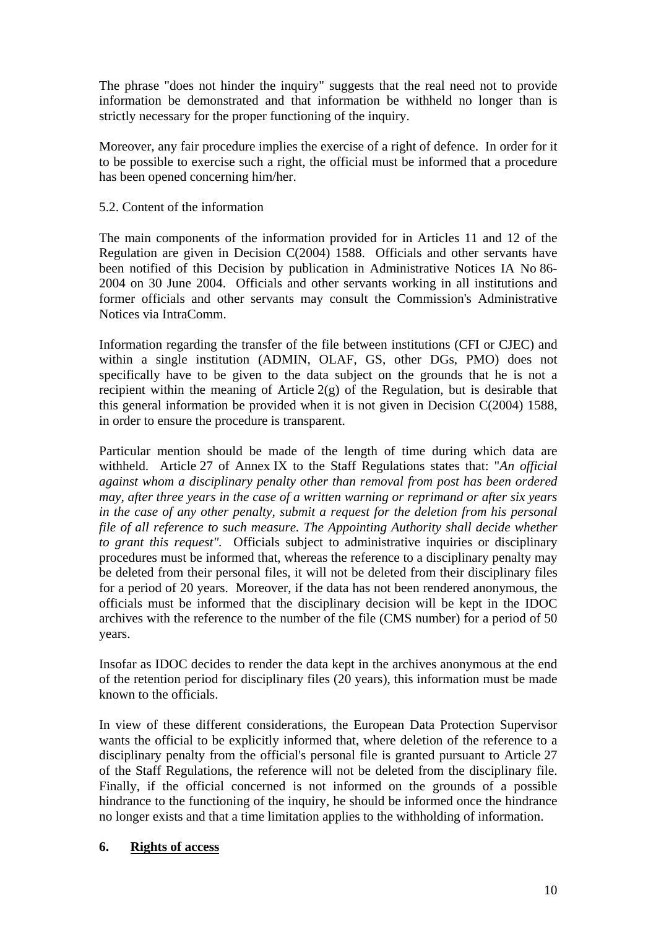The phrase "does not hinder the inquiry" suggests that the real need not to provide information be demonstrated and that information be withheld no longer than is strictly necessary for the proper functioning of the inquiry.

Moreover, any fair procedure implies the exercise of a right of defence. In order for it to be possible to exercise such a right, the official must be informed that a procedure has been opened concerning him/her.

#### 5.2. Content of the information

The main components of the information provided for in Articles 11 and 12 of the Regulation are given in Decision C(2004) 1588. Officials and other servants have been notified of this Decision by publication in Administrative Notices IA No 86- 2004 on 30 June 2004. Officials and other servants working in all institutions and former officials and other servants may consult the Commission's Administrative Notices via IntraComm.

Information regarding the transfer of the file between institutions (CFI or CJEC) and within a single institution (ADMIN, OLAF, GS, other DGs, PMO) does not specifically have to be given to the data subject on the grounds that he is not a recipient within the meaning of Article 2(g) of the Regulation, but is desirable that this general information be provided when it is not given in Decision C(2004) 1588, in order to ensure the procedure is transparent.

Particular mention should be made of the length of time during which data are withheld. Article 27 of Annex IX to the Staff Regulations states that: "*An official against whom a disciplinary penalty other than removal from post has been ordered may, after three years in the case of a written warning or reprimand or after six years in the case of any other penalty, submit a request for the deletion from his personal file of all reference to such measure. The Appointing Authority shall decide whether to grant this request".* Officials subject to administrative inquiries or disciplinary procedures must be informed that, whereas the reference to a disciplinary penalty may be deleted from their personal files, it will not be deleted from their disciplinary files for a period of 20 years. Moreover, if the data has not been rendered anonymous, the officials must be informed that the disciplinary decision will be kept in the IDOC archives with the reference to the number of the file (CMS number) for a period of 50 years.

Insofar as IDOC decides to render the data kept in the archives anonymous at the end of the retention period for disciplinary files (20 years), this information must be made known to the officials.

In view of these different considerations, the European Data Protection Supervisor wants the official to be explicitly informed that, where deletion of the reference to a disciplinary penalty from the official's personal file is granted pursuant to Article 27 of the Staff Regulations, the reference will not be deleted from the disciplinary file. Finally, if the official concerned is not informed on the grounds of a possible hindrance to the functioning of the inquiry, he should be informed once the hindrance no longer exists and that a time limitation applies to the withholding of information.

#### **6. Rights of access**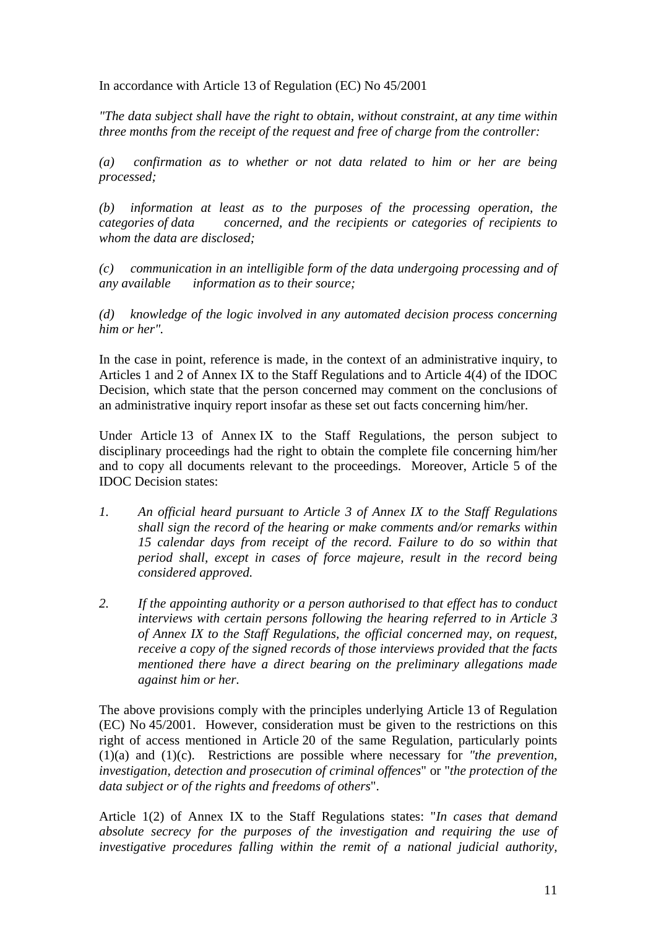In accordance with Article 13 of Regulation (EC) No 45/2001

*"The data subject shall have the right to obtain, without constraint, at any time within three months from the receipt of the request and free of charge from the controller:* 

*(a) confirmation as to whether or not data related to him or her are being processed;* 

*(b) information at least as to the purposes of the processing operation, the categories of data concerned, and the recipients or categories of recipients to whom the data are disclosed;* 

*(c) communication in an intelligible form of the data undergoing processing and of any available information as to their source;* 

*(d) knowledge of the logic involved in any automated decision process concerning him or her".* 

In the case in point, reference is made, in the context of an administrative inquiry, to Articles 1 and 2 of Annex IX to the Staff Regulations and to Article 4(4) of the IDOC Decision, which state that the person concerned may comment on the conclusions of an administrative inquiry report insofar as these set out facts concerning him/her.

Under Article 13 of Annex IX to the Staff Regulations, the person subject to disciplinary proceedings had the right to obtain the complete file concerning him/her and to copy all documents relevant to the proceedings. Moreover, Article 5 of the IDOC Decision states:

- *1. An official heard pursuant to Article 3 of Annex IX to the Staff Regulations shall sign the record of the hearing or make comments and/or remarks within 15 calendar days from receipt of the record. Failure to do so within that period shall, except in cases of force majeure, result in the record being considered approved.*
- *2. If the appointing authority or a person authorised to that effect has to conduct interviews with certain persons following the hearing referred to in Article 3 of Annex IX to the Staff Regulations, the official concerned may, on request, receive a copy of the signed records of those interviews provided that the facts mentioned there have a direct bearing on the preliminary allegations made against him or her.*

The above provisions comply with the principles underlying Article 13 of Regulation (EC) No 45/2001. However, consideration must be given to the restrictions on this right of access mentioned in Article 20 of the same Regulation, particularly points (1)(a) and (1)(c). Restrictions are possible where necessary for *"the prevention, investigation, detection and prosecution of criminal offences*" or "*the protection of the data subject or of the rights and freedoms of others*".

Article 1(2) of Annex IX to the Staff Regulations states: "*In cases that demand absolute secrecy for the purposes of the investigation and requiring the use of investigative procedures falling within the remit of a national judicial authority,*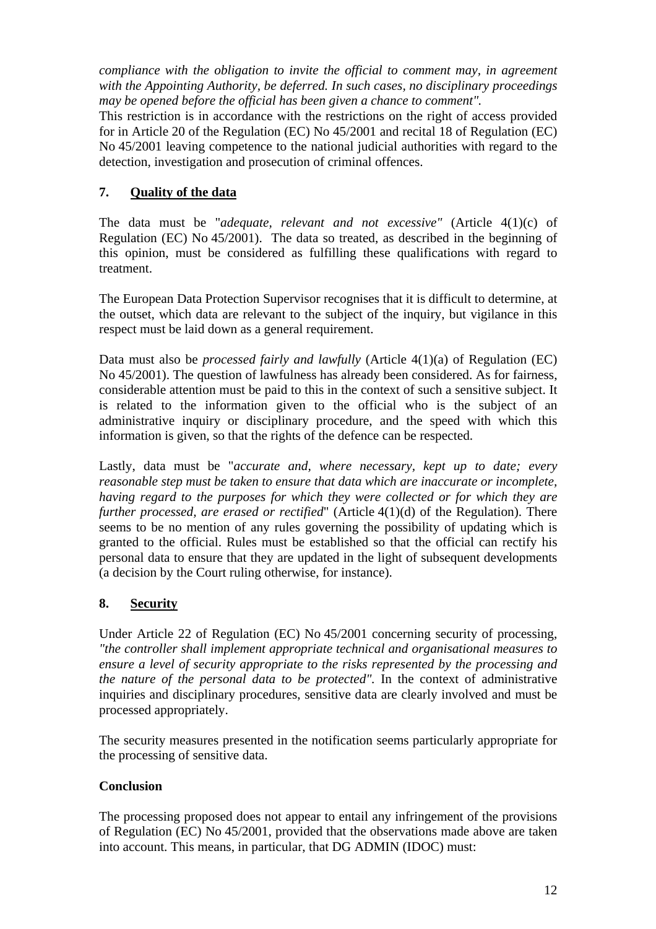*compliance with the obligation to invite the official to comment may, in agreement with the Appointing Authority, be deferred. In such cases, no disciplinary proceedings may be opened before the official has been given a chance to comment".* 

This restriction is in accordance with the restrictions on the right of access provided for in Article 20 of the Regulation (EC) No 45/2001 and recital 18 of Regulation (EC) No 45/2001 leaving competence to the national judicial authorities with regard to the detection, investigation and prosecution of criminal offences.

# **7. Quality of the data**

The data must be "*adequate, relevant and not excessive"* (Article 4(1)(c) of Regulation (EC) No 45/2001). The data so treated, as described in the beginning of this opinion, must be considered as fulfilling these qualifications with regard to treatment.

The European Data Protection Supervisor recognises that it is difficult to determine, at the outset, which data are relevant to the subject of the inquiry, but vigilance in this respect must be laid down as a general requirement.

Data must also be *processed fairly and lawfully* (Article 4(1)(a) of Regulation (EC) No 45/2001). The question of lawfulness has already been considered. As for fairness, considerable attention must be paid to this in the context of such a sensitive subject. It is related to the information given to the official who is the subject of an administrative inquiry or disciplinary procedure, and the speed with which this information is given, so that the rights of the defence can be respected.

Lastly, data must be "*accurate and, where necessary, kept up to date; every reasonable step must be taken to ensure that data which are inaccurate or incomplete, having regard to the purposes for which they were collected or for which they are further processed, are erased or rectified*" (Article 4(1)(d) of the Regulation). There seems to be no mention of any rules governing the possibility of updating which is granted to the official. Rules must be established so that the official can rectify his personal data to ensure that they are updated in the light of subsequent developments (a decision by the Court ruling otherwise, for instance).

## **8. Security**

Under Article 22 of Regulation (EC) No 45/2001 concerning security of processing, *"the controller shall implement appropriate technical and organisational measures to ensure a level of security appropriate to the risks represented by the processing and the nature of the personal data to be protected".* In the context of administrative inquiries and disciplinary procedures, sensitive data are clearly involved and must be processed appropriately.

The security measures presented in the notification seems particularly appropriate for the processing of sensitive data.

### **Conclusion**

The processing proposed does not appear to entail any infringement of the provisions of Regulation (EC) No 45/2001, provided that the observations made above are taken into account. This means, in particular, that DG ADMIN (IDOC) must: